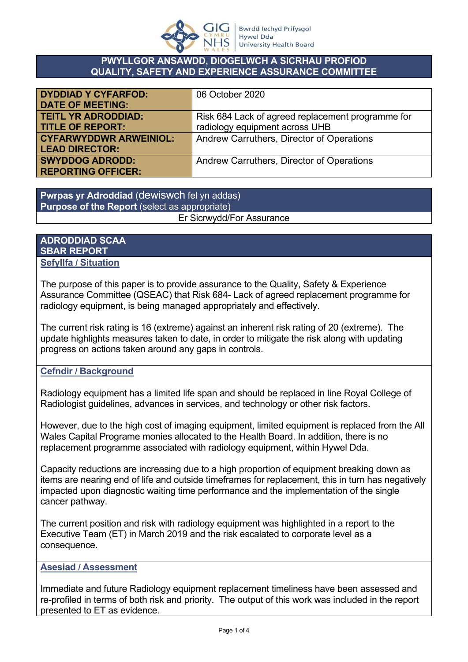

### **PWYLLGOR ANSAWDD, DIOGELWCH A SICRHAU PROFIOD QUALITY, SAFETY AND EXPERIENCE ASSURANCE COMMITTEE**

| <b>DYDDIAD Y CYFARFOD:</b>    | 06 October 2020                                   |
|-------------------------------|---------------------------------------------------|
| <b>DATE OF MEETING:</b>       |                                                   |
| <b>TEITL YR ADRODDIAD:</b>    | Risk 684 Lack of agreed replacement programme for |
| <b>TITLE OF REPORT:</b>       | radiology equipment across UHB                    |
| <b>CYFARWYDDWR ARWEINIOL:</b> | Andrew Carruthers, Director of Operations         |
| <b>LEAD DIRECTOR:</b>         |                                                   |
| <b>SWYDDOG ADRODD:</b>        | Andrew Carruthers, Director of Operations         |
| <b>REPORTING OFFICER:</b>     |                                                   |

**Pwrpas yr Adroddiad** (dewiswch fel yn addas) **Purpose of the Report** (select as appropriate)

## Er Sicrwydd/For Assurance

### **ADRODDIAD SCAA SBAR REPORT Sefyllfa / Situation**

The purpose of this paper is to provide assurance to the Quality, Safety & Experience Assurance Committee (QSEAC) that Risk 684- Lack of agreed replacement programme for radiology equipment, is being managed appropriately and effectively.

The current risk rating is 16 (extreme) against an inherent risk rating of 20 (extreme). The update highlights measures taken to date, in order to mitigate the risk along with updating progress on actions taken around any gaps in controls.

# **Cefndir / Background**

Radiology equipment has a limited life span and should be replaced in line Royal College of Radiologist guidelines, advances in services, and technology or other risk factors.

However, due to the high cost of imaging equipment, limited equipment is replaced from the All Wales Capital Programe monies allocated to the Health Board. In addition, there is no replacement programme associated with radiology equipment, within Hywel Dda.

Capacity reductions are increasing due to a high proportion of equipment breaking down as items are nearing end of life and outside timeframes for replacement, this in turn has negatively impacted upon diagnostic waiting time performance and the implementation of the single cancer pathway.

The current position and risk with radiology equipment was highlighted in a report to the Executive Team (ET) in March 2019 and the risk escalated to corporate level as a consequence.

## **Asesiad / Assessment**

Immediate and future Radiology equipment replacement timeliness have been assessed and re-profiled in terms of both risk and priority. The output of this work was included in the report presented to ET as evidence.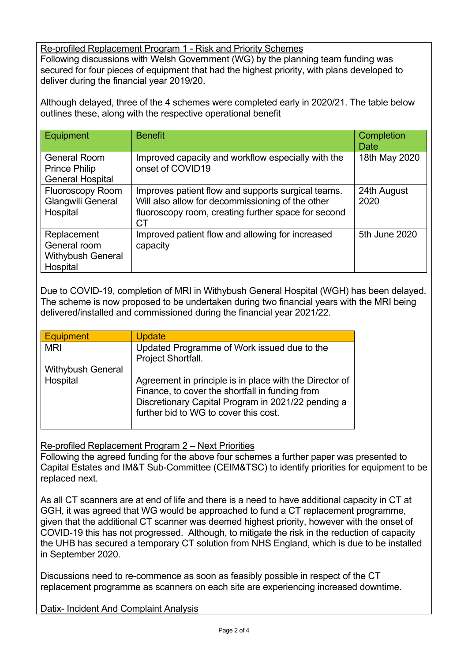Re-profiled Replacement Program 1 - Risk and Priority Schemes Following discussions with Welsh Government (WG) by the planning team funding was secured for four pieces of equipment that had the highest priority, with plans developed to deliver during the financial year 2019/20.

Although delayed, three of the 4 schemes were completed early in 2020/21. The table below outlines these, along with the respective operational benefit

| Equipment                                                              | <b>Benefit</b>                                                                                                                                                      | Completion<br><b>Date</b> |
|------------------------------------------------------------------------|---------------------------------------------------------------------------------------------------------------------------------------------------------------------|---------------------------|
| <b>General Room</b><br><b>Prince Philip</b><br><b>General Hospital</b> | Improved capacity and workflow especially with the<br>onset of COVID19                                                                                              | 18th May 2020             |
| <b>Fluoroscopy Room</b><br><b>Glangwili General</b><br>Hospital        | Improves patient flow and supports surgical teams.<br>Will also allow for decommissioning of the other<br>fluoroscopy room, creating further space for second<br>СT | 24th August<br>2020       |
| Replacement<br>General room<br><b>Withybush General</b><br>Hospital    | Improved patient flow and allowing for increased<br>capacity                                                                                                        | 5th June 2020             |

Due to COVID-19, completion of MRI in Withybush General Hospital (WGH) has been delayed. The scheme is now proposed to be undertaken during two financial years with the MRI being delivered/installed and commissioned during the financial year 2021/22.

| <b>Equipment</b>         | <b>Update</b>                                           |
|--------------------------|---------------------------------------------------------|
| <b>MRI</b>               | Updated Programme of Work issued due to the             |
|                          | Project Shortfall.                                      |
| <b>Withybush General</b> |                                                         |
| Hospital                 | Agreement in principle is in place with the Director of |
|                          | Finance, to cover the shortfall in funding from         |
|                          | Discretionary Capital Program in 2021/22 pending a      |
|                          | further bid to WG to cover this cost.                   |
|                          |                                                         |

Re-profiled Replacement Program 2 – Next Priorities

Following the agreed funding for the above four schemes a further paper was presented to Capital Estates and IM&T Sub-Committee (CEIM&TSC) to identify priorities for equipment to be replaced next.

As all CT scanners are at end of life and there is a need to have additional capacity in CT at GGH, it was agreed that WG would be approached to fund a CT replacement programme, given that the additional CT scanner was deemed highest priority, however with the onset of COVID-19 this has not progressed. Although, to mitigate the risk in the reduction of capacity the UHB has secured a temporary CT solution from NHS England, which is due to be installed in September 2020.

Discussions need to re-commence as soon as feasibly possible in respect of the CT replacement programme as scanners on each site are experiencing increased downtime.

Datix- Incident And Complaint Analysis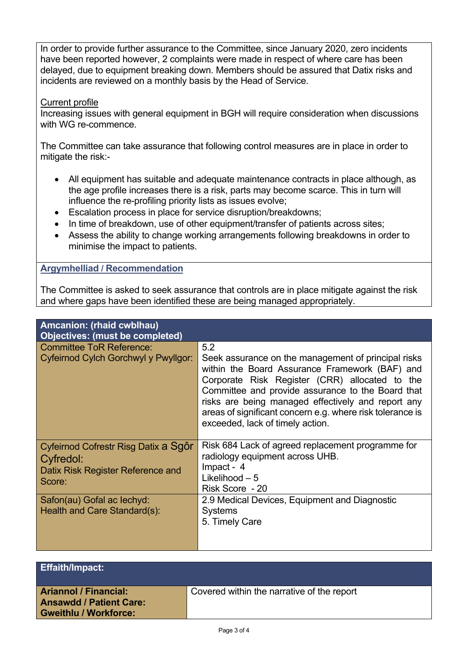In order to provide further assurance to the Committee, since January 2020, zero incidents have been reported however, 2 complaints were made in respect of where care has been delayed, due to equipment breaking down. Members should be assured that Datix risks and incidents are reviewed on a monthly basis by the Head of Service.

### Current profile

Increasing issues with general equipment in BGH will require consideration when discussions with WG re-commence.

The Committee can take assurance that following control measures are in place in order to mitigate the risk:-

- All equipment has suitable and adequate maintenance contracts in place although, as the age profile increases there is a risk, parts may become scarce. This in turn will influence the re-profiling priority lists as issues evolve;
- Escalation process in place for service disruption/breakdowns;
- In time of breakdown, use of other equipment/transfer of patients across sites;
- Assess the ability to change working arrangements following breakdowns in order to minimise the impact to patients.

## **Argymhelliad / Recommendation**

The Committee is asked to seek assurance that controls are in place mitigate against the risk and where gaps have been identified these are being managed appropriately.

| Amcanion: (rhaid cwblhau)<br><b>Objectives: (must be completed)</b> |                                                                                                                                                                                                                                                                                                                                                                     |
|---------------------------------------------------------------------|---------------------------------------------------------------------------------------------------------------------------------------------------------------------------------------------------------------------------------------------------------------------------------------------------------------------------------------------------------------------|
|                                                                     |                                                                                                                                                                                                                                                                                                                                                                     |
| <b>Committee ToR Reference:</b>                                     | 5.2                                                                                                                                                                                                                                                                                                                                                                 |
| Cyfeirnod Cylch Gorchwyl y Pwyllgor:                                | Seek assurance on the management of principal risks<br>within the Board Assurance Framework (BAF) and<br>Corporate Risk Register (CRR) allocated to the<br>Committee and provide assurance to the Board that<br>risks are being managed effectively and report any<br>areas of significant concern e.g. where risk tolerance is<br>exceeded, lack of timely action. |
| Cyfeirnod Cofrestr Risg Datix a Sgôr                                | Risk 684 Lack of agreed replacement programme for                                                                                                                                                                                                                                                                                                                   |
| Cyfredol:                                                           | radiology equipment across UHB.                                                                                                                                                                                                                                                                                                                                     |
| Datix Risk Register Reference and                                   | Impact - 4                                                                                                                                                                                                                                                                                                                                                          |
| Score:                                                              | Likelihood $-5$                                                                                                                                                                                                                                                                                                                                                     |
|                                                                     | Risk Score - 20                                                                                                                                                                                                                                                                                                                                                     |
| Safon(au) Gofal ac lechyd:<br>Health and Care Standard(s):          | 2.9 Medical Devices, Equipment and Diagnostic                                                                                                                                                                                                                                                                                                                       |
|                                                                     | <b>Systems</b>                                                                                                                                                                                                                                                                                                                                                      |
|                                                                     | 5. Timely Care                                                                                                                                                                                                                                                                                                                                                      |
|                                                                     |                                                                                                                                                                                                                                                                                                                                                                     |
|                                                                     |                                                                                                                                                                                                                                                                                                                                                                     |
|                                                                     |                                                                                                                                                                                                                                                                                                                                                                     |

| <b>Effaith/Impact:</b>                                                                         |                                            |
|------------------------------------------------------------------------------------------------|--------------------------------------------|
| <b>Ariannol / Financial:</b><br><b>Ansawdd / Patient Care:</b><br><b>Gweithlu / Workforce:</b> | Covered within the narrative of the report |